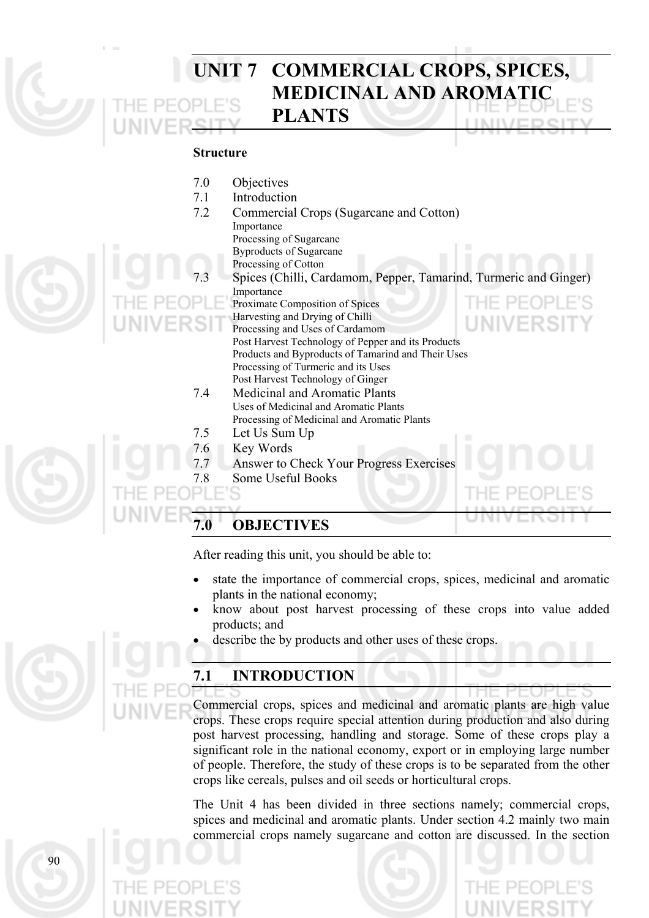# **UNIT 7 COMMERCIAL CROPS, SPICES, MEDICINAL AND AROMATIC PLANTS**

### **Structure**

7.0 Objectives 7.1 Introduction 7.2 Commercial Crops (Sugarcane and Cotton) Importance Processing of Sugarcane Byproducts of Sugarcane Processing of Cotton Spices (Chilli, Cardamom, Pepper, Tamarind, Turmeric and Ginger) Importance Proximate Composition of Spices Harvesting and Drying of Chilli Processing and Uses of Cardamom Post Harvest Technology of Pepper and its Products Products and Byproducts of Tamarind and Their Uses Processing of Turmeric and its Uses Post Harvest Technology of Ginger 7.4 Medicinal and Aromatic Plants Uses of Medicinal and Aromatic Plants Processing of Medicinal and Aromatic Plants 7.5 Let Us Sum Up 7.6 Key Words 7.7 Answer to Check Your Progress Exercises 7.8 Some Useful Books

# **7.0 OBJECTIVES**

After reading this unit, you should be able to:

- state the importance of commercial crops, spices, medicinal and aromatic plants in the national economy;
- know about post harvest processing of these crops into value added products; and
- describe the by products and other uses of these crops.

# **7.1 INTRODUCTION**

Commercial crops, spices and medicinal and aromatic plants are high value crops. These crops require special attention during production and also during post harvest processing, handling and storage. Some of these crops play a significant role in the national economy, export or in employing large number of people. Therefore, the study of these crops is to be separated from the other crops like cereals, pulses and oil seeds or horticultural crops.

The Unit 4 has been divided in three sections namely; commercial crops, spices and medicinal and aromatic plants. Under section 4.2 mainly two main commercial crops namely sugarcane and cotton are discussed. In the section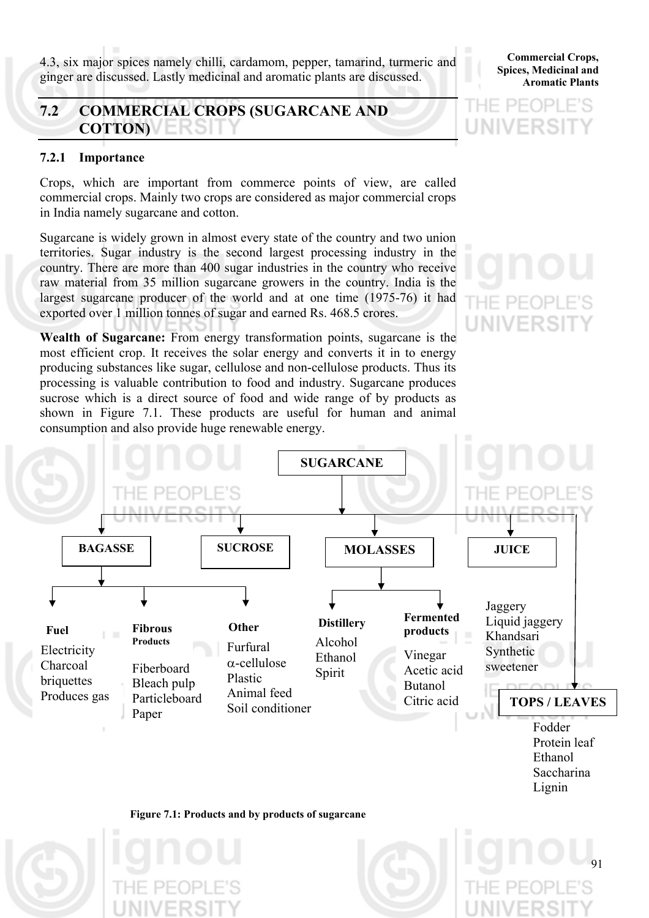4.3, six major spices namely chilli, cardamom, pepper, tamarind, turmeric and ginger are discussed. Lastly medicinal and aromatic plants are discussed.

# **7.2 COMMERCIAL CROPS (SUGARCANE AND COTTON)**

# **7.2.1 Importance**

Crops, which are important from commerce points of view, are called commercial crops. Mainly two crops are considered as major commercial crops in India namely sugarcane and cotton.

Sugarcane is widely grown in almost every state of the country and two union territories. Sugar industry is the second largest processing industry in the country. There are more than 400 sugar industries in the country who receive raw material from 35 million sugarcane growers in the country. India is the largest sugarcane producer of the world and at one time (1975-76) it had exported over 1 million tonnes of sugar and earned Rs. 468.5 crores.

**Wealth of Sugarcane:** From energy transformation points, sugarcane is the most efficient crop. It receives the solar energy and converts it in to energy producing substances like sugar, cellulose and non-cellulose products. Thus its processing is valuable contribution to food and industry. Sugarcane produces sucrose which is a direct source of food and wide range of by products as shown in Figure 7.1. These products are useful for human and animal consumption and also provide huge renewable energy.





### **Commercial Crops, Spices, Medicinal and Aromatic Plants**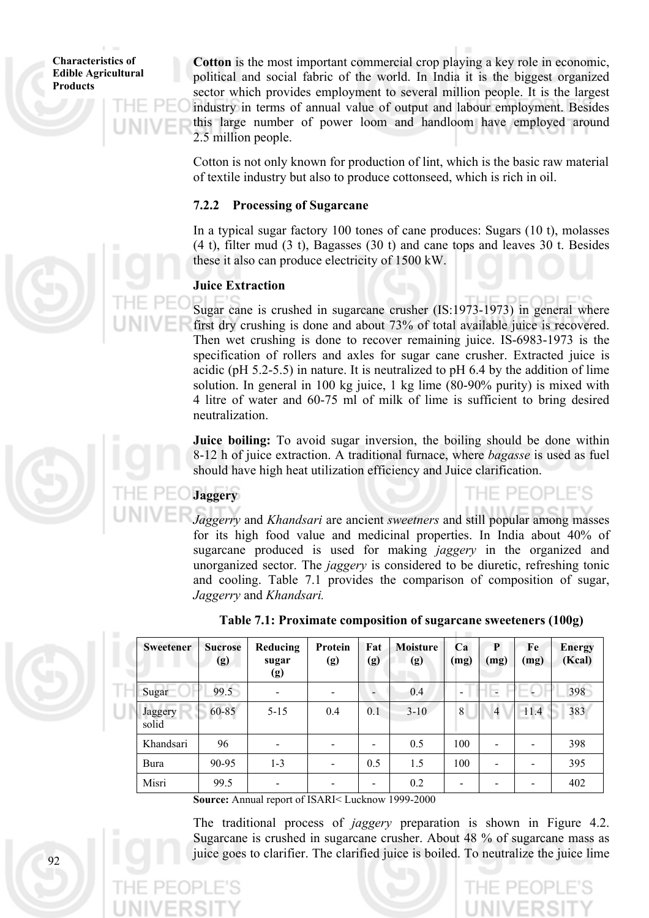92

**Cotton** is the most important commercial crop playing a key role in economic, political and social fabric of the world. In India it is the biggest organized sector which provides employment to several million people. It is the largest industry in terms of annual value of output and labour employment. Besides this large number of power loom and handloom have employed around 2.5 million people.

Cotton is not only known for production of lint, which is the basic raw material of textile industry but also to produce cottonseed, which is rich in oil.

## **7.2.2 Processing of Sugarcane**

In a typical sugar factory 100 tones of cane produces: Sugars (10 t), molasses (4 t), filter mud (3 t), Bagasses (30 t) and cane tops and leaves 30 t. Besides these it also can produce electricity of 1500 kW.

# **Juice Extraction**

Sugar cane is crushed in sugarcane crusher (IS:1973-1973) in general where first dry crushing is done and about 73% of total available juice is recovered. Then wet crushing is done to recover remaining juice. IS-6983-1973 is the specification of rollers and axles for sugar cane crusher. Extracted juice is acidic (pH 5.2-5.5) in nature. It is neutralized to pH 6.4 by the addition of lime solution. In general in 100 kg juice, 1 kg lime (80-90% purity) is mixed with 4 litre of water and 60-75 ml of milk of lime is sufficient to bring desired neutralization.

**Juice boiling:** To avoid sugar inversion, the boiling should be done within 8-12 h of juice extraction. A traditional furnace, where *bagasse* is used as fuel should have high heat utilization efficiency and Juice clarification.

# **Jaggery**

# E PEOPLE'S

*Jaggerry* and *Khandsari* are ancient *sweetners* and still popular among masses for its high food value and medicinal properties. In India about 40% of sugarcane produced is used for making *jaggery* in the organized and unorganized sector. The *jaggery* is considered to be diuretic, refreshing tonic and cooling. Table 7.1 provides the comparison of composition of sugar, *Jaggerry* and *Khandsari.*

| <b>Sweetener</b> | <b>Sucrose</b><br>(g) | Reducing<br>sugar<br>(g) | Protein<br>(g)           | <b>Fat</b><br>(g) | <b>Moisture</b><br>(g) | Ca<br>(mg)               | P<br>(mg)      | Fe<br>(mg) | <b>Energy</b><br>(Kcal) |
|------------------|-----------------------|--------------------------|--------------------------|-------------------|------------------------|--------------------------|----------------|------------|-------------------------|
| Sugar            | 99.5                  |                          |                          |                   | 0.4                    | $\overline{\phantom{a}}$ |                |            | 398                     |
| Jaggery<br>solid | 60-85                 | $5 - 15$                 | 0.4                      | 0.1               | $3 - 10$               | 8                        | $\overline{4}$ | 11.4       | 383                     |
| Khandsari        | 96                    |                          |                          |                   | 0.5                    | 100                      |                |            | 398                     |
| Bura             | 90-95                 | $1 - 3$                  | $\overline{\phantom{a}}$ | 0.5               | 1.5                    | 100                      |                |            | 395                     |
| Misri            | 99.5                  |                          |                          |                   | 0.2                    | $\overline{\phantom{a}}$ |                |            | 402                     |

# **Table 7.1: Proximate composition of sugarcane sweeteners (100g)**

**Source:** Annual report of ISARI< Lucknow 1999-2000

The traditional process of *jaggery* preparation is shown in Figure 4.2. Sugarcane is crushed in sugarcane crusher. About 48 % of sugarcane mass as juice goes to clarifier. The clarified juice is boiled. To neutralize the juice lime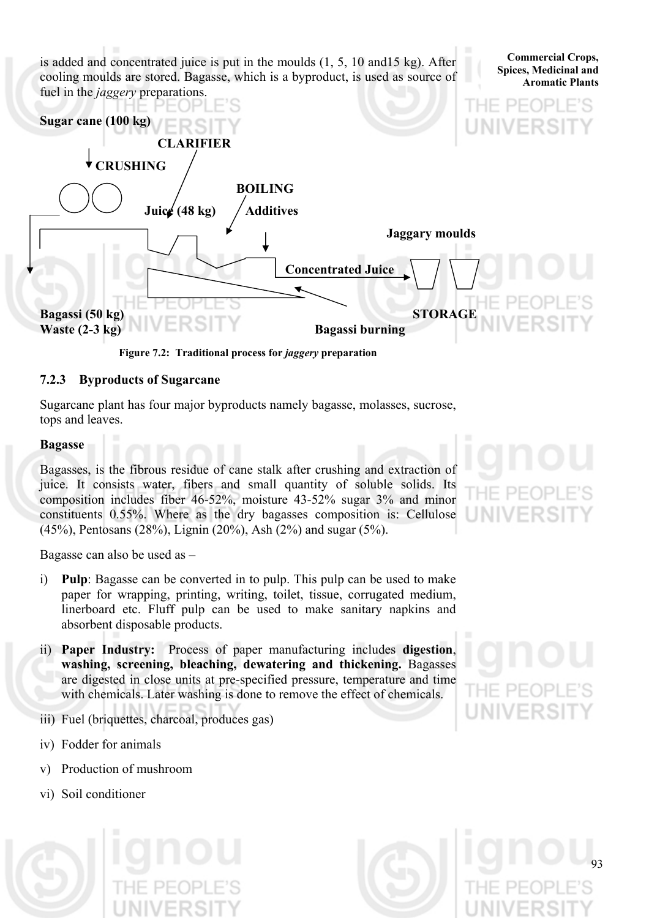is added and concentrated juice is put in the moulds (1, 5, 10 and15 kg). After cooling moulds are stored. Bagasse, which is a byproduct, is used as source of fuel in the *jaggery* preparations.



**Figure 7.2: Traditional process for** *jaggery* **preparation**

# **7.2.3 Byproducts of Sugarcane**

Sugarcane plant has four major byproducts namely bagasse, molasses, sucrose, tops and leaves.

# **Bagasse**

Bagasses, is the fibrous residue of cane stalk after crushing and extraction of juice. It consists water, fibers and small quantity of soluble solids. Its composition includes fiber 46-52%, moisture 43-52% sugar 3% and minor constituents 0.55%. Where as the dry bagasses composition is: Cellulose (45%), Pentosans (28%), Lignin (20%), Ash (2%) and sugar (5%).

Bagasse can also be used as –

- i) **Pulp**: Bagasse can be converted in to pulp. This pulp can be used to make paper for wrapping, printing, writing, toilet, tissue, corrugated medium, linerboard etc. Fluff pulp can be used to make sanitary napkins and absorbent disposable products.
- ii) **Paper Industry:** Process of paper manufacturing includes **digestion**, **washing, screening, bleaching, dewatering and thickening.** Bagasses are digested in close units at pre-specified pressure, temperature and time with chemicals. Later washing is done to remove the effect of chemicals.
- iii) Fuel (briquettes, charcoal, produces gas)
- iv) Fodder for animals
- v) Production of mushroom
- vi) Soil conditioner



**Commercial Crops, Spices, Medicinal and Aromatic Plants**



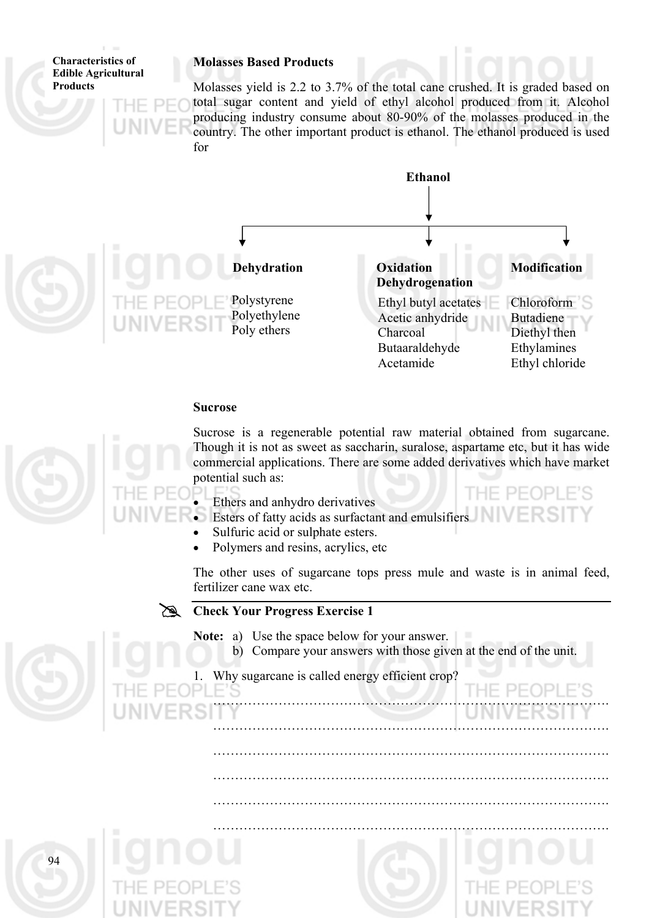**Molasses Based Products** 

**Characteristics of Edible Agricultural Products** 

Molasses yield is 2.2 to 3.7% of the total cane crushed. It is graded based on total sugar content and yield of ethyl alcohol produced from it. Alcohol producing industry consume about 80-90% of the molasses produced in the country. The other important product is ethanol. The ethanol produced is used for



### **Sucrose**



Sucrose is a regenerable potential raw material obtained from sugarcane. Though it is not as sweet as saccharin, suralose, aspartame etc, but it has wide commercial applications. There are some added derivatives which have market potential such as:

- Ethers and anhydro derivatives
- Esters of fatty acids as surfactant and emulsifiers
- Sulfuric acid or sulphate esters.
- Polymers and resins, acrylics, etc

The other uses of sugarcane tops press mule and waste is in animal feed, fertilizer cane wax etc.

# **Check Your Progress Exercise 1**

**Note:** a) Use the space below for your answer.

b) Compare your answers with those given at the end of the unit.

……………………………………………………………………………….

……………………………………………………………………………….

……………………………………………………………………………….

……………………………………………………………………………….

……………………………………………………………………………….

……………………………………………………………………………….

1. Why sugarcane is called energy efficient crop?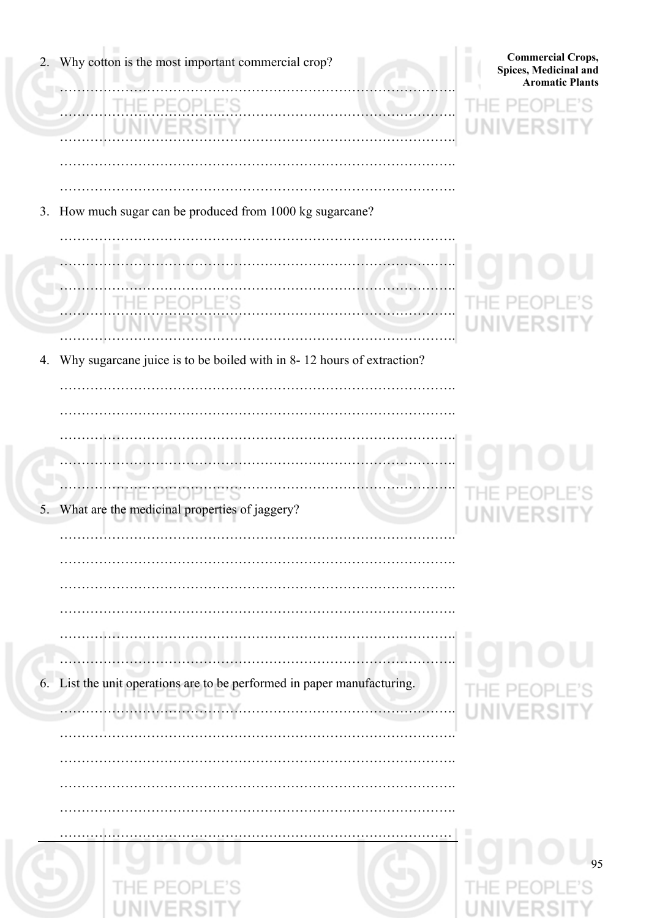| Why cotton is the most important commercial crop?<br>2.                  | <b>Commercial Crops,</b><br>Spices, Medicinal and<br><b>Aromatic Plants</b> |
|--------------------------------------------------------------------------|-----------------------------------------------------------------------------|
|                                                                          | UNI                                                                         |
|                                                                          |                                                                             |
| 3. How much sugar can be produced from 1000 kg sugarcane?                |                                                                             |
|                                                                          | ш                                                                           |
| .                                                                        | UN.                                                                         |
| 4. Why sugarcane juice is to be boiled with in 8-12 hours of extraction? |                                                                             |
|                                                                          |                                                                             |
|                                                                          |                                                                             |
| What are the medicinal properties of jaggery?<br>5.                      |                                                                             |
|                                                                          |                                                                             |
|                                                                          |                                                                             |
| .<br>.                                                                   | ш                                                                           |
| 6. List the unit operations are to be performed in paper manufacturing.  | PFOPLI<br>VERSI                                                             |
|                                                                          |                                                                             |
|                                                                          |                                                                             |
|                                                                          |                                                                             |
| L.C                                                                      | ш                                                                           |
|                                                                          | 95                                                                          |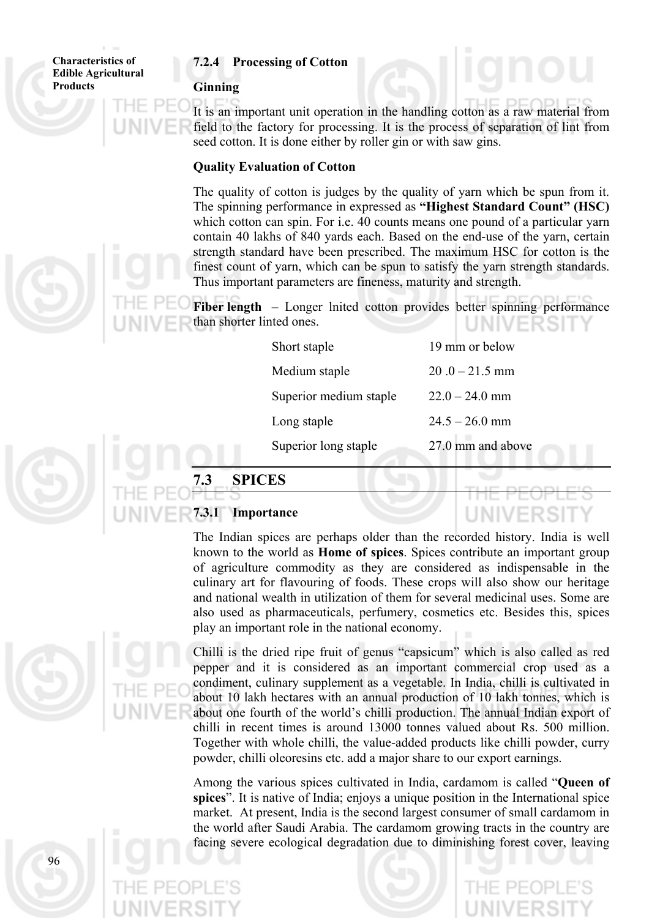### **7.2.4 Processing of Cotton**

### **Ginning**

It is an important unit operation in the handling cotton as a raw material from field to the factory for processing. It is the process of separation of lint from seed cotton. It is done either by roller gin or with saw gins.

### **Quality Evaluation of Cotton**

The quality of cotton is judges by the quality of yarn which be spun from it. The spinning performance in expressed as **"Highest Standard Count" (HSC)** which cotton can spin. For i.e. 40 counts means one pound of a particular yarn contain 40 lakhs of 840 yards each. Based on the end-use of the yarn, certain strength standard have been prescribed. The maximum HSC for cotton is the finest count of yarn, which can be spun to satisfy the yarn strength standards. Thus important parameters are fineness, maturity and strength.

**Fiber length** – Longer lnited cotton provides better spinning performance than shorter linted ones.

| Short staple           | 19 mm or below    |
|------------------------|-------------------|
| Medium staple          | $20.0 - 21.5$ mm  |
| Superior medium staple | $22.0 - 24.0$ mm  |
| Long staple            | $24.5 - 26.0$ mm  |
| Superior long staple   | 27.0 mm and above |
|                        |                   |

# **7.3 SPICES**



The Indian spices are perhaps older than the recorded history. India is well known to the world as **Home of spices**. Spices contribute an important group of agriculture commodity as they are considered as indispensable in the culinary art for flavouring of foods. These crops will also show our heritage and national wealth in utilization of them for several medicinal uses. Some are also used as pharmaceuticals, perfumery, cosmetics etc. Besides this, spices play an important role in the national economy.



Chilli is the dried ripe fruit of genus "capsicum" which is also called as red pepper and it is considered as an important commercial crop used as a condiment, culinary supplement as a vegetable. In India, chilli is cultivated in about 10 lakh hectares with an annual production of 10 lakh tonnes, which is about one fourth of the world's chilli production. The annual Indian export of chilli in recent times is around 13000 tonnes valued about Rs. 500 million. Together with whole chilli, the value-added products like chilli powder, curry powder, chilli oleoresins etc. add a major share to our export earnings.

Among the various spices cultivated in India, cardamom is called "**Queen of spices**". It is native of India; enjoys a unique position in the International spice market. At present, India is the second largest consumer of small cardamom in the world after Saudi Arabia. The cardamom growing tracts in the country are facing severe ecological degradation due to diminishing forest cover, leaving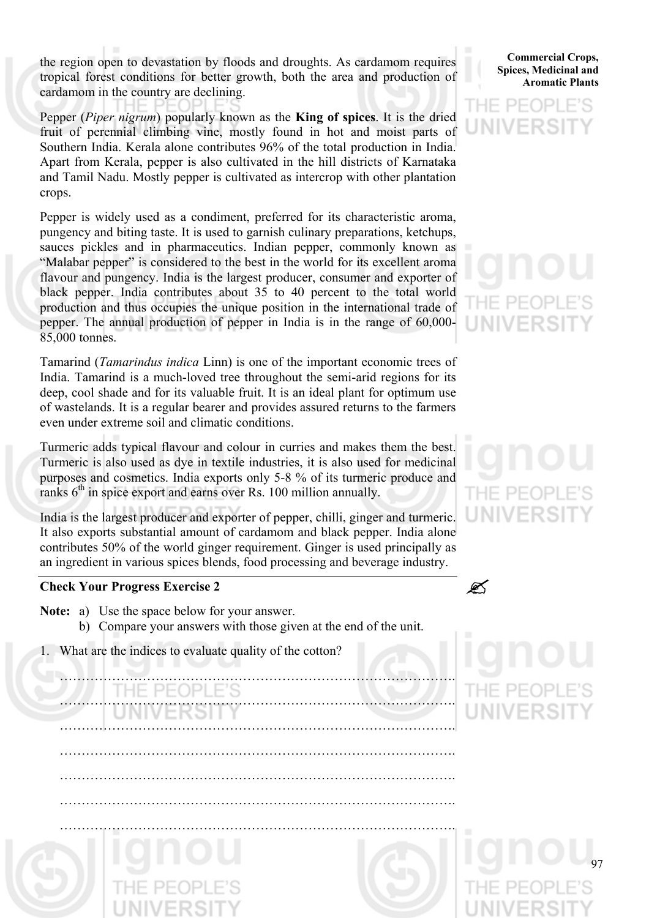the region open to devastation by floods and droughts. As cardamom requires tropical forest conditions for better growth, both the area and production of cardamom in the country are declining.

Pepper (*Piper nigrum*) popularly known as the **King of spices**. It is the dried fruit of perennial climbing vine, mostly found in hot and moist parts of Southern India. Kerala alone contributes 96% of the total production in India. Apart from Kerala, pepper is also cultivated in the hill districts of Karnataka and Tamil Nadu. Mostly pepper is cultivated as intercrop with other plantation crops.

Pepper is widely used as a condiment, preferred for its characteristic aroma, pungency and biting taste. It is used to garnish culinary preparations, ketchups, sauces pickles and in pharmaceutics. Indian pepper, commonly known as "Malabar pepper" is considered to the best in the world for its excellent aroma flavour and pungency. India is the largest producer, consumer and exporter of black pepper. India contributes about 35 to 40 percent to the total world production and thus occupies the unique position in the international trade of pepper. The annual production of pepper in India is in the range of 60,000- 85,000 tonnes.

Tamarind (*Tamarindus indica* Linn) is one of the important economic trees of India. Tamarind is a much-loved tree throughout the semi-arid regions for its deep, cool shade and for its valuable fruit. It is an ideal plant for optimum use of wastelands. It is a regular bearer and provides assured returns to the farmers even under extreme soil and climatic conditions.

Turmeric adds typical flavour and colour in curries and makes them the best. Turmeric is also used as dye in textile industries, it is also used for medicinal purposes and cosmetics. India exports only 5-8 % of its turmeric produce and ranks  $6<sup>th</sup>$  in spice export and earns over Rs. 100 million annually.

India is the largest producer and exporter of pepper, chilli, ginger and turmeric. It also exports substantial amount of cardamom and black pepper. India alone contributes 50% of the world ginger requirement. Ginger is used principally as an ingredient in various spices blends, food processing and beverage industry.

### **Check Your Progress Exercise 2** "

- **Note:** a) Use the space below for your answer.
	- b) Compare your answers with those given at the end of the unit.

……………………………………………………………………………….

……………………………………………………………………………….

……………………………………………………………………………….

……………………………………………………………………………….

1. What are the indices to evaluate quality of the cotton?

# ………………………………………………………………………………. ……………………………………………………………………………….

**Commercial Crops, Spices, Medicinal and Aromatic Plants**



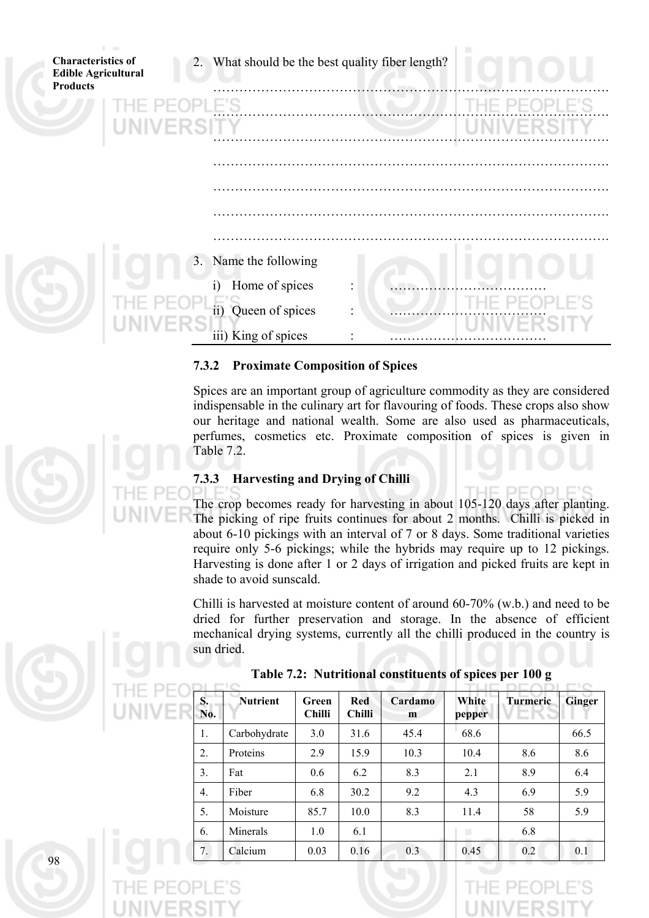| <b>Telephone</b><br><b>Characteristics of</b><br><b>Edible Agricultural</b><br><b>Products</b> | 2. What should be the best quality fiber length? |  |  |
|------------------------------------------------------------------------------------------------|--------------------------------------------------|--|--|
|                                                                                                |                                                  |  |  |
| <b>IIVERS</b>                                                                                  |                                                  |  |  |
|                                                                                                |                                                  |  |  |
|                                                                                                |                                                  |  |  |
|                                                                                                |                                                  |  |  |
|                                                                                                |                                                  |  |  |
|                                                                                                |                                                  |  |  |
|                                                                                                | 3. Name the following                            |  |  |
|                                                                                                | Home of spices<br>i)                             |  |  |
|                                                                                                | ii) Queen of spices                              |  |  |
|                                                                                                | iii) King of spices                              |  |  |

# **7.3.2 Proximate Composition of Spices**

Spices are an important group of agriculture commodity as they are considered indispensable in the culinary art for flavouring of foods. These crops also show our heritage and national wealth. Some are also used as pharmaceuticals, perfumes, cosmetics etc. Proximate composition of spices is given in Table 7.2.

# **7.3.3 Harvesting and Drying of Chilli**

 $IF$   $PF$ 1D I The crop becomes ready for harvesting in about 105-120 days after planting. The picking of ripe fruits continues for about 2 months. Chilli is picked in about 6-10 pickings with an interval of 7 or 8 days. Some traditional varieties require only 5-6 pickings; while the hybrids may require up to 12 pickings. Harvesting is done after 1 or 2 days of irrigation and picked fruits are kept in shade to avoid sunscald.

Chilli is harvested at moisture content of around 60-70% (w.b.) and need to be dried for further preservation and storage. In the absence of efficient mechanical drying systems, currently all the chilli produced in the country is sun dried.

| S.<br>No.        | <b>Nutrient</b> | Green<br><b>Chilli</b> | <b>Red</b><br><b>Chilli</b> | Cardamo<br>m | White<br>pepper | <b>Turmeric</b> | <b>Ginger</b> |
|------------------|-----------------|------------------------|-----------------------------|--------------|-----------------|-----------------|---------------|
| 1.               | Carbohydrate    | 3.0                    | 31.6                        | 45.4         | 68.6            |                 | 66.5          |
| 2.               | Proteins        | 2.9                    | 15.9                        | 10.3         | 10.4            | 8.6             | 8.6           |
| 3.               | Fat             | 0.6                    | 6.2                         | 8.3          | 2.1             | 8.9             | 6.4           |
| $\overline{4}$ . | Fiber           | 6.8                    | 30.2                        | 9.2          | 4.3             | 6.9             | 5.9           |
| 5.               | Moisture        | 85.7                   | 10.0                        | 8.3          | 11.4            | 58              | 5.9           |
| 6.               | Minerals        | 1.0                    | 6.1                         |              | ٠               | 6.8             |               |
| 7.               | Calcium         | 0.03                   | 0.16                        | 0.3          | 0.45            | 0.2             | 0.1           |

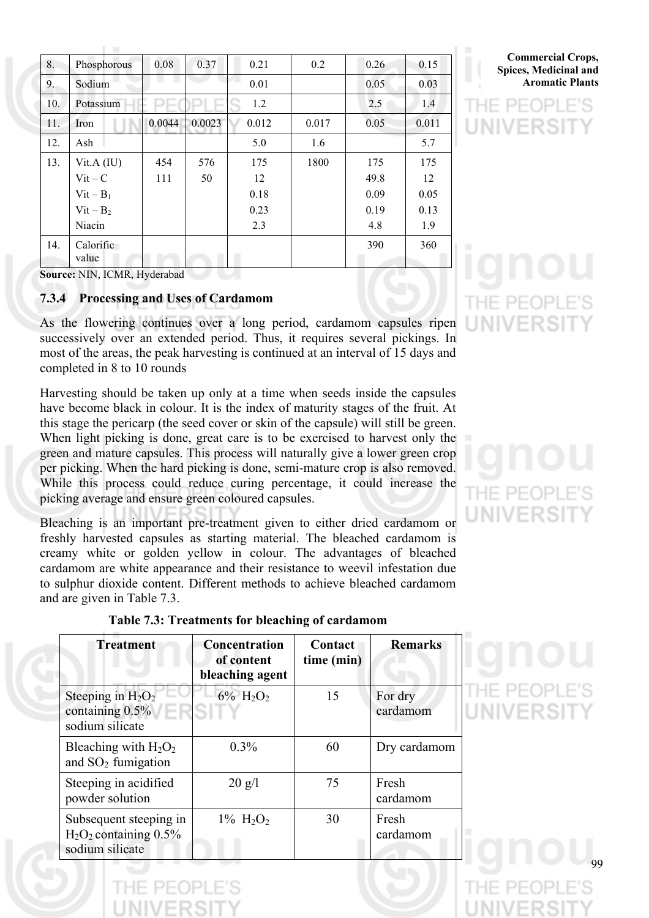| 8.  | Phosphorous        | 0.08   | 0.37   | 0.21  | 0.2   | 0.26 | 0.15  |
|-----|--------------------|--------|--------|-------|-------|------|-------|
| 9.  | Sodium             |        |        | 0.01  |       | 0.05 | 0.03  |
| 10. | Potassium          | ⊃∟     |        | 1.2   |       | 2.5  | 1.4   |
| 11. | Iron               | 0.0044 | 0.0023 | 0.012 | 0.017 | 0.05 | 0.011 |
| 12. | Ash                |        |        | 5.0   | 1.6   |      | 5.7   |
| 13. | Vit.A (IU)         | 454    | 576    | 175   | 1800  | 175  | 175   |
|     | $Vit - C$          | 111    | 50     | 12    |       | 49.8 | 12    |
|     | $Vit - B_1$        |        |        | 0.18  |       | 0.09 | 0.05  |
|     | $Vit - B2$         |        |        | 0.23  |       | 0.19 | 0.13  |
|     | Niacin             |        |        | 2.3   |       | 4.8  | 1.9   |
| 14. | Calorific<br>value |        |        |       |       | 390  | 360   |

**Commercial Crops, Spices, Medicinal and Aromatic Plants**

**Source:** NIN, ICMR, Hyderabad

### **7.3.4 Processing and Uses of Cardamom**

As the flowering continues over a long period, cardamom capsules ripen successively over an extended period. Thus, it requires several pickings. In most of the areas, the peak harvesting is continued at an interval of 15 days and completed in 8 to 10 rounds

Harvesting should be taken up only at a time when seeds inside the capsules have become black in colour. It is the index of maturity stages of the fruit. At this stage the pericarp (the seed cover or skin of the capsule) will still be green. When light picking is done, great care is to be exercised to harvest only the green and mature capsules. This process will naturally give a lower green crop per picking. When the hard picking is done, semi-mature crop is also removed. While this process could reduce curing percentage, it could increase the picking average and ensure green coloured capsules.

Bleaching is an important pre-treatment given to either dried cardamom or freshly harvested capsules as starting material. The bleached cardamom is creamy white or golden yellow in colour. The advantages of bleached cardamom are white appearance and their resistance to weevil infestation due to sulphur dioxide content. Different methods to achieve bleached cardamom and are given in Table 7.3.

| <b>Treatment</b>                                                    | Concentration<br>of content<br>bleaching agent | Contact<br>time (min) | <b>Remarks</b>      |
|---------------------------------------------------------------------|------------------------------------------------|-----------------------|---------------------|
| Steeping in $H_2O_2$<br>containing 0.5%<br>sodium silicate          | $6\%$ H <sub>2</sub> O <sub>2</sub>            | 15                    | For dry<br>cardamom |
| Bleaching with $H_2O_2$<br>and $SO2$ fumigation                     | $0.3\%$                                        | 60                    | Dry cardamom        |
| Steeping in acidified<br>powder solution                            | $20 \text{ g}/\text{l}$                        | 75                    | Fresh<br>cardamom   |
| Subsequent steeping in<br>$H2O2 containing 0.5%$<br>sodium silicate | $1\% \text{ H}_2\text{O}_2$                    | 30                    | Fresh<br>cardamom   |

# **Table 7.3: Treatments for bleaching of cardamom**



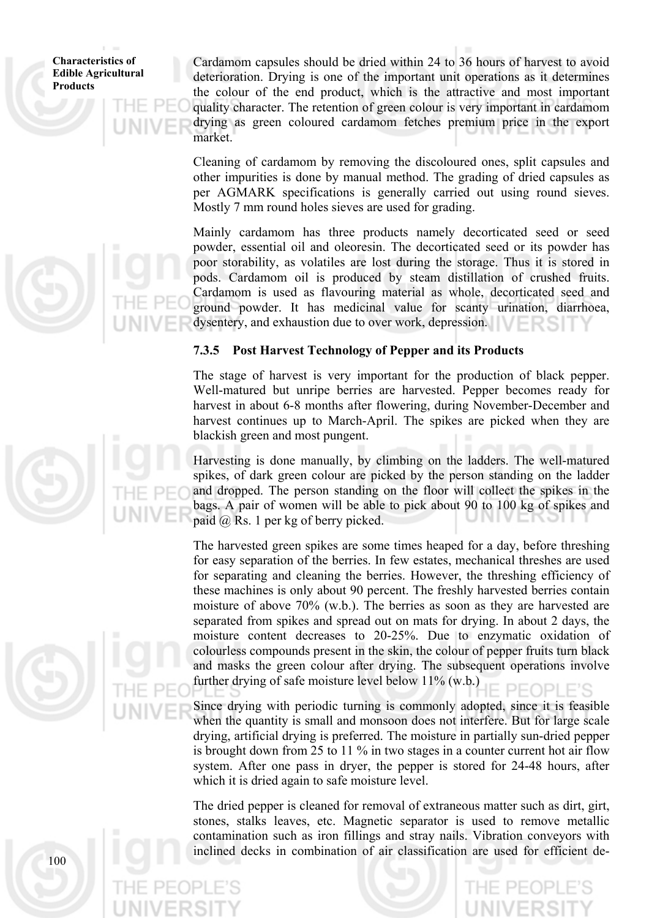Cardamom capsules should be dried within 24 to 36 hours of harvest to avoid deterioration. Drying is one of the important unit operations as it determines the colour of the end product, which is the attractive and most important quality character. The retention of green colour is very important in cardamom drying as green coloured cardamom fetches premium price in the export market.

Cleaning of cardamom by removing the discoloured ones, split capsules and other impurities is done by manual method. The grading of dried capsules as per AGMARK specifications is generally carried out using round sieves. Mostly 7 mm round holes sieves are used for grading.

Mainly cardamom has three products namely decorticated seed or seed powder, essential oil and oleoresin. The decorticated seed or its powder has poor storability, as volatiles are lost during the storage. Thus it is stored in pods. Cardamom oil is produced by steam distillation of crushed fruits. Cardamom is used as flavouring material as whole, decorticated seed and ground powder. It has medicinal value for scanty urination, diarrhoea, dysentery, and exhaustion due to over work, depression.

# **7.3.5 Post Harvest Technology of Pepper and its Products**

The stage of harvest is very important for the production of black pepper. Well-matured but unripe berries are harvested. Pepper becomes ready for harvest in about 6-8 months after flowering, during November-December and harvest continues up to March-April. The spikes are picked when they are blackish green and most pungent.

Harvesting is done manually, by climbing on the ladders. The well-matured spikes, of dark green colour are picked by the person standing on the ladder and dropped. The person standing on the floor will collect the spikes in the bags. A pair of women will be able to pick about 90 to 100 kg of spikes and paid @ Rs. 1 per kg of berry picked.

The harvested green spikes are some times heaped for a day, before threshing for easy separation of the berries. In few estates, mechanical threshes are used for separating and cleaning the berries. However, the threshing efficiency of these machines is only about 90 percent. The freshly harvested berries contain moisture of above 70% (w.b.). The berries as soon as they are harvested are separated from spikes and spread out on mats for drying. In about 2 days, the moisture content decreases to 20-25%. Due to enzymatic oxidation of colourless compounds present in the skin, the colour of pepper fruits turn black and masks the green colour after drying. The subsequent operations involve further drying of safe moisture level below 11% (w.b.)

Since drying with periodic turning is commonly adopted, since it is feasible when the quantity is small and monsoon does not interfere. But for large scale drying, artificial drying is preferred. The moisture in partially sun-dried pepper is brought down from 25 to 11 % in two stages in a counter current hot air flow system. After one pass in dryer, the pepper is stored for 24-48 hours, after which it is dried again to safe moisture level.

The dried pepper is cleaned for removal of extraneous matter such as dirt, girt, stones, stalks leaves, etc. Magnetic separator is used to remove metallic contamination such as iron fillings and stray nails. Vibration conveyors with inclined decks in combination of air classification are used for efficient de-



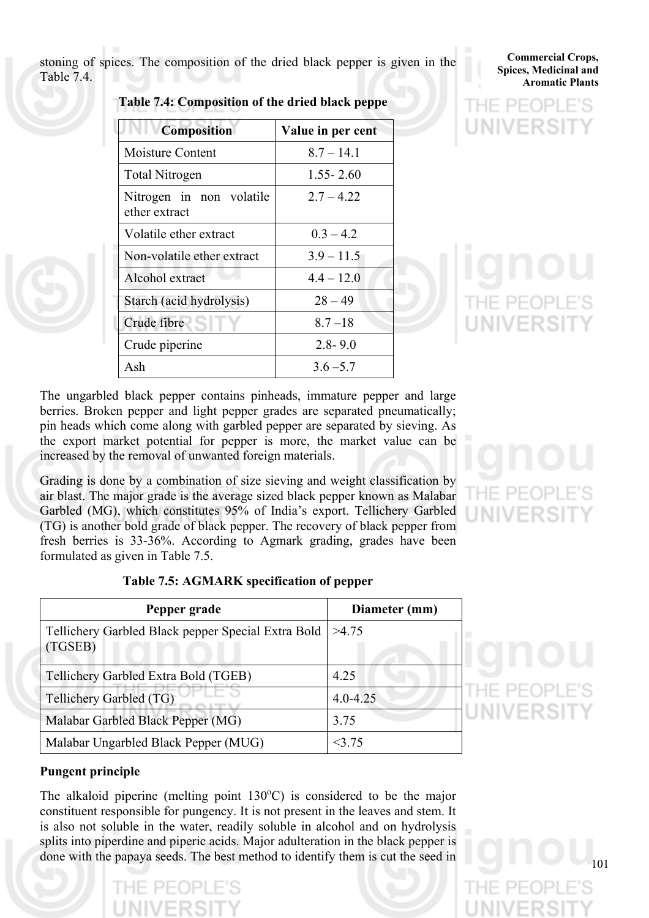stoning of spices. The composition of the dried black pepper is given in the Table 7.4.

**Table 7.4: Composition of the dried black peppe** 

| <b>Composition</b>                        | Value in per cent |
|-------------------------------------------|-------------------|
| Moisture Content                          | $8.7 - 14.1$      |
| Total Nitrogen                            | $1.55 - 2.60$     |
| Nitrogen in non volatile<br>ether extract | $2.7 - 4.22$      |
| Volatile ether extract                    | $0.3 - 4.2$       |
| Non-volatile ether extract                | $3.9 - 11.5$      |
| Alcohol extract                           | $4.4 - 12.0$      |
| Starch (acid hydrolysis)                  | $28 - 49$         |
| Crude fibre                               | $8.7 - 18$        |
| Crude piperine                            | $2.8 - 9.0$       |
| Ash                                       | $3.6 - 5.7$       |

**Commercial Crops, Spices, Medicinal and Aromatic Plants**

The ungarbled black pepper contains pinheads, immature pepper and large berries. Broken pepper and light pepper grades are separated pneumatically; pin heads which come along with garbled pepper are separated by sieving. As the export market potential for pepper is more, the market value can be increased by the removal of unwanted foreign materials.

Grading is done by a combination of size sieving and weight classification by air blast. The major grade is the average sized black pepper known as Malabar Garbled (MG), which constitutes 95% of India's export. Tellichery Garbled (TG) is another bold grade of black pepper. The recovery of black pepper from fresh berries is 33-36%. According to Agmark grading, grades have been formulated as given in Table 7.5.

| Pepper grade                                                  | Diameter (mm) |
|---------------------------------------------------------------|---------------|
| Tellichery Garbled Black pepper Special Extra Bold<br>(TGSEB) | >4.75         |
| Tellichery Garbled Extra Bold (TGEB)                          | 4 2 5         |
| Tellichery Garbled (TG)                                       | $4.0 - 4.25$  |
| Malabar Garbled Black Pepper (MG)                             | 3.75          |
| Malabar Ungarbled Black Pepper (MUG)                          | 375           |

101

# **Pungent principle**

The alkaloid piperine (melting point  $130^{\circ}$ C) is considered to be the major constituent responsible for pungency. It is not present in the leaves and stem. It is also not soluble in the water, readily soluble in alcohol and on hydrolysis splits into piperdine and piperic acids. Major adulteration in the black pepper is done with the papaya seeds. The best method to identify them is cut the seed in

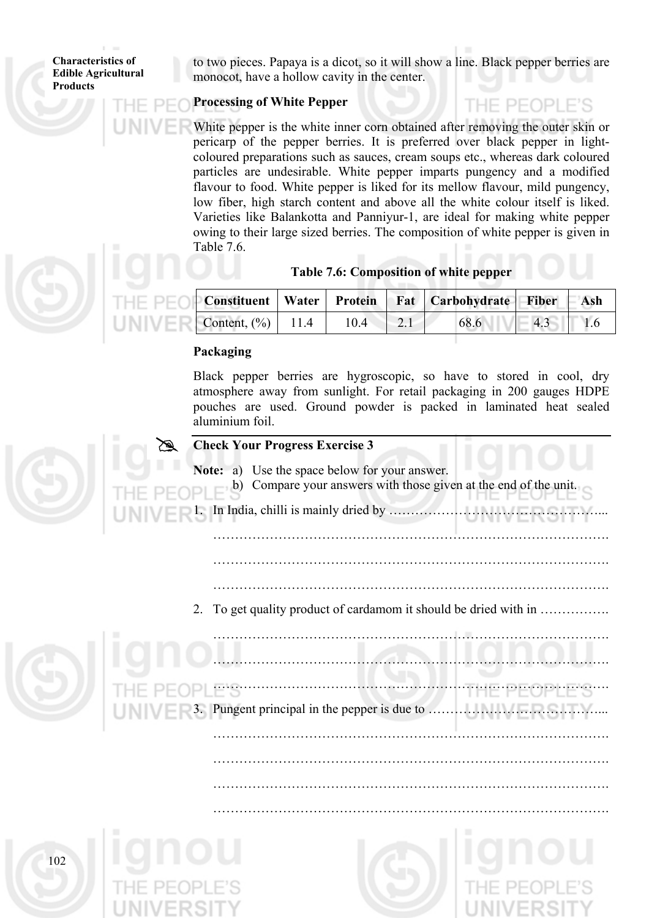to two pieces. Papaya is a dicot, so it will show a line. Black pepper berries are monocot, have a hollow cavity in the center.

# **Processing of White Pepper**

THE PEOPLE'S

White pepper is the white inner corn obtained after removing the outer skin or pericarp of the pepper berries. It is preferred over black pepper in lightcoloured preparations such as sauces, cream soups etc., whereas dark coloured particles are undesirable. White pepper imparts pungency and a modified flavour to food. White pepper is liked for its mellow flavour, mild pungency, low fiber, high starch content and above all the white colour itself is liked. Varieties like Balankotta and Panniyur-1, are ideal for making white pepper owing to their large sized berries. The composition of white pepper is given in Table 7.6.

|                         |      | Constituent   Water   Protein   Fat   Carbohydrate   Fiber   Ash |        |  |
|-------------------------|------|------------------------------------------------------------------|--------|--|
| Content, $(\% )$   11.4 | 10.4 | 68.6                                                             | $-4.3$ |  |

# **Packaging**

Black pepper berries are hygroscopic, so have to stored in cool, dry atmosphere away from sunlight. For retail packaging in 200 gauges HDPE pouches are used. Ground powder is packed in laminated heat sealed aluminium foil.

# **Check Your Progress Exercise 3 Note:** a) Use the space below for your answer. b) Compare your answers with those given at the end of the unit. In India, chilli is mainly dried by  $\ldots$ ......... ………………………………………………………………………………. ………………………………………………………………………………. ………………………………………………………………………………. 2. To get quality product of cardamom it should be dried with in ……………. ………………………………………………………………………………. ………………………………………………………………………………. ………………………………………………………………………………. 3. Pungent principal in the pepper is due to …………………………………... ………………………………………………………………………………. ………………………………………………………………………………. ………………………………………………………………………………. ……………………………………………………………………………….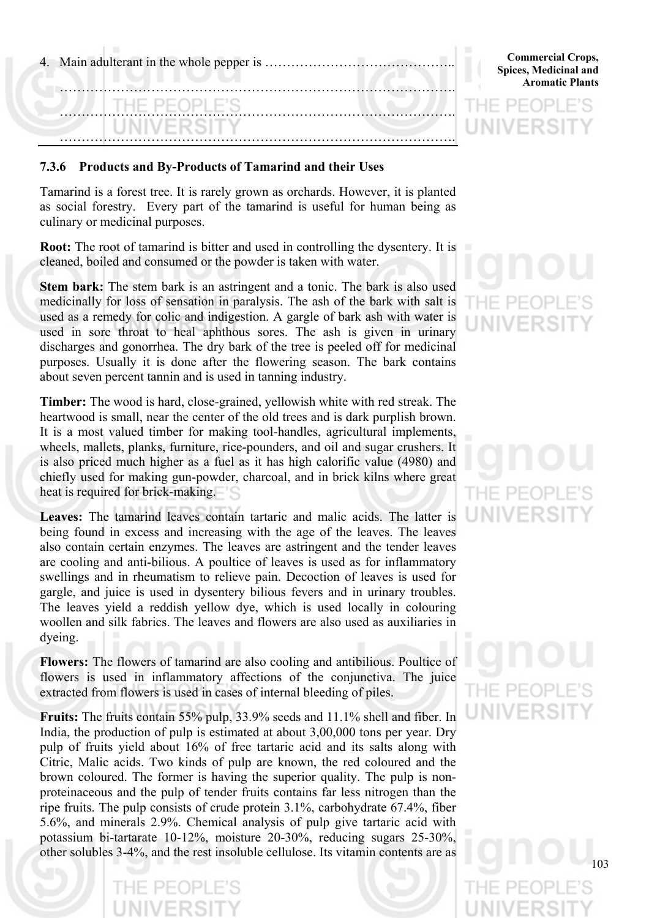| THE PEOPLE'S |  |  |  |
|--------------|--|--|--|
|              |  |  |  |

### **7.3.6 Products and By-Products of Tamarind and their Uses**

Tamarind is a forest tree. It is rarely grown as orchards. However, it is planted as social forestry. Every part of the tamarind is useful for human being as culinary or medicinal purposes.

**Root:** The root of tamarind is bitter and used in controlling the dysentery. It is cleaned, boiled and consumed or the powder is taken with water.

**Stem bark:** The stem bark is an astringent and a tonic. The bark is also used medicinally for loss of sensation in paralysis. The ash of the bark with salt is used as a remedy for colic and indigestion. A gargle of bark ash with water is used in sore throat to heal aphthous sores. The ash is given in urinary discharges and gonorrhea. The dry bark of the tree is peeled off for medicinal purposes. Usually it is done after the flowering season. The bark contains about seven percent tannin and is used in tanning industry.

**Timber:** The wood is hard, close-grained, yellowish white with red streak. The heartwood is small, near the center of the old trees and is dark purplish brown. It is a most valued timber for making tool-handles, agricultural implements, wheels, mallets, planks, furniture, rice-pounders, and oil and sugar crushers. It is also priced much higher as a fuel as it has high calorific value (4980) and chiefly used for making gun-powder, charcoal, and in brick kilns where great heat is required for brick-making.

**Leaves:** The tamarind leaves contain tartaric and malic acids. The latter is being found in excess and increasing with the age of the leaves. The leaves also contain certain enzymes. The leaves are astringent and the tender leaves are cooling and anti-bilious. A poultice of leaves is used as for inflammatory swellings and in rheumatism to relieve pain. Decoction of leaves is used for gargle, and juice is used in dysentery bilious fevers and in urinary troubles. The leaves yield a reddish yellow dye, which is used locally in colouring woollen and silk fabrics. The leaves and flowers are also used as auxiliaries in dyeing.

**Flowers:** The flowers of tamarind are also cooling and antibilious. Poultice of flowers is used in inflammatory affections of the conjunctiva. The juice extracted from flowers is used in cases of internal bleeding of piles.

**Fruits:** The fruits contain 55% pulp, 33.9% seeds and 11.1% shell and fiber. In India, the production of pulp is estimated at about 3,00,000 tons per year. Dry pulp of fruits yield about 16% of free tartaric acid and its salts along with Citric, Malic acids. Two kinds of pulp are known, the red coloured and the brown coloured. The former is having the superior quality. The pulp is nonproteinaceous and the pulp of tender fruits contains far less nitrogen than the ripe fruits. The pulp consists of crude protein 3.1%, carbohydrate 67.4%, fiber 5.6%, and minerals 2.9%. Chemical analysis of pulp give tartaric acid with potassium bi-tartarate 10-12%, moisture 20-30%, reducing sugars 25-30%, other solubles 3-4%, and the rest insoluble cellulose. Its vitamin contents are as

**Commercial Crops, Spices, Medicinal and Aromatic Plants**

UNIVERS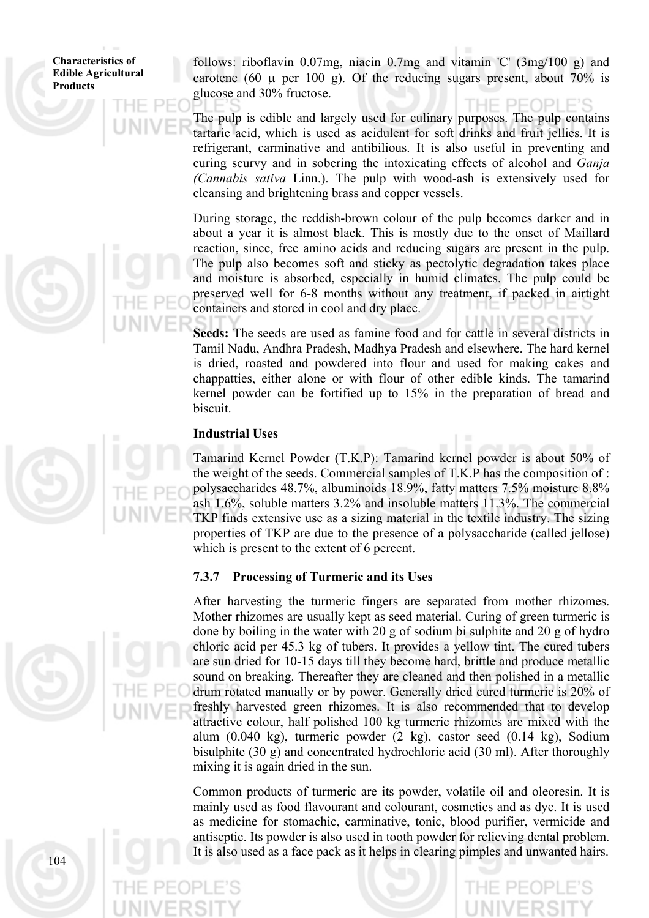follows: riboflavin 0.07mg, niacin 0.7mg and vitamin 'C' (3mg/100 g) and carotene (60  $\mu$  per 100 g). Of the reducing sugars present, about 70% is glucose and 30% fructose.

The pulp is edible and largely used for culinary purposes. The pulp contains tartaric acid, which is used as acidulent for soft drinks and fruit jellies. It is refrigerant, carminative and antibilious. It is also useful in preventing and curing scurvy and in sobering the intoxicating effects of alcohol and *Ganja (Cannabis sativa* Linn.). The pulp with wood-ash is extensively used for cleansing and brightening brass and copper vessels.

During storage, the reddish-brown colour of the pulp becomes darker and in about a year it is almost black. This is mostly due to the onset of Maillard reaction, since, free amino acids and reducing sugars are present in the pulp. The pulp also becomes soft and sticky as pectolytic degradation takes place and moisture is absorbed, especially in humid climates. The pulp could be preserved well for 6-8 months without any treatment, if packed in airtight containers and stored in cool and dry place.

**Seeds:** The seeds are used as famine food and for cattle in several districts in Tamil Nadu, Andhra Pradesh, Madhya Pradesh and elsewhere. The hard kernel is dried, roasted and powdered into flour and used for making cakes and chappatties, either alone or with flour of other edible kinds. The tamarind kernel powder can be fortified up to 15% in the preparation of bread and biscuit.

### **Industrial Uses**

Tamarind Kernel Powder (T.K.P): Tamarind kernel powder is about 50% of the weight of the seeds. Commercial samples of T.K.P has the composition of : polysaccharides 48.7%, albuminoids 18.9%, fatty matters 7.5% moisture 8.8% ash 1.6%, soluble matters 3.2% and insoluble matters 11.3%. The commercial TKP finds extensive use as a sizing material in the textile industry. The sizing properties of TKP are due to the presence of a polysaccharide (called jellose) which is present to the extent of 6 percent.

### **7.3.7 Processing of Turmeric and its Uses**

After harvesting the turmeric fingers are separated from mother rhizomes. Mother rhizomes are usually kept as seed material. Curing of green turmeric is done by boiling in the water with 20 g of sodium bi sulphite and 20 g of hydro chloric acid per 45.3 kg of tubers. It provides a yellow tint. The cured tubers are sun dried for 10-15 days till they become hard, brittle and produce metallic sound on breaking. Thereafter they are cleaned and then polished in a metallic drum rotated manually or by power. Generally dried cured turmeric is 20% of freshly harvested green rhizomes. It is also recommended that to develop attractive colour, half polished 100 kg turmeric rhizomes are mixed with the alum (0.040 kg), turmeric powder (2 kg), castor seed (0.14 kg), Sodium bisulphite (30 g) and concentrated hydrochloric acid (30 ml). After thoroughly mixing it is again dried in the sun.

Common products of turmeric are its powder, volatile oil and oleoresin. It is mainly used as food flavourant and colourant, cosmetics and as dye. It is used as medicine for stomachic, carminative, tonic, blood purifier, vermicide and antiseptic. Its powder is also used in tooth powder for relieving dental problem. It is also used as a face pack as it helps in clearing pimples and unwanted hairs.



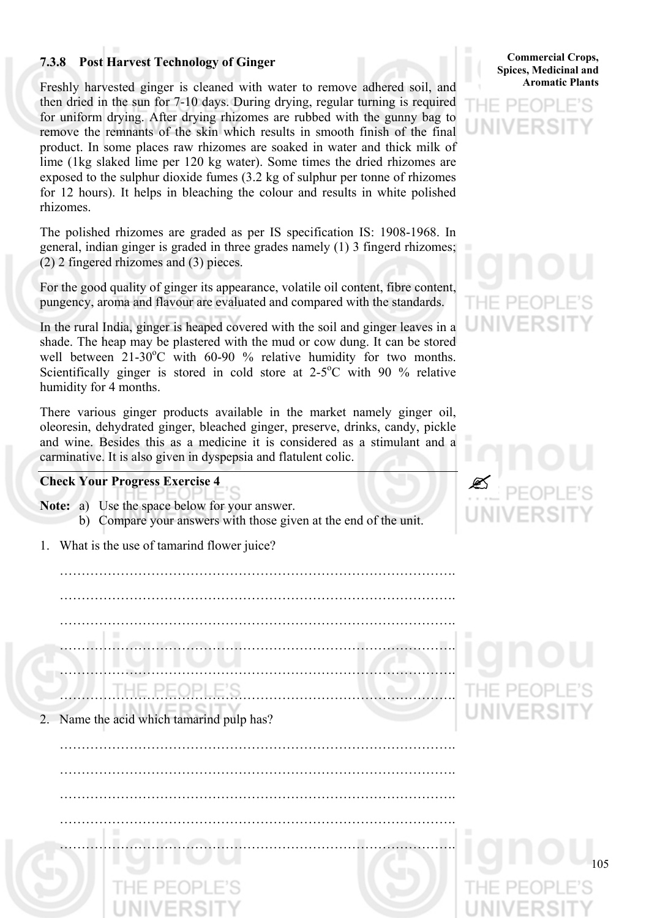# **7.3.8 Post Harvest Technology of Ginger**

Freshly harvested ginger is cleaned with water to remove adhered soil, and then dried in the sun for 7-10 days. During drying, regular turning is required for uniform drying. After drying rhizomes are rubbed with the gunny bag to remove the remnants of the skin which results in smooth finish of the final product. In some places raw rhizomes are soaked in water and thick milk of lime (1kg slaked lime per 120 kg water). Some times the dried rhizomes are exposed to the sulphur dioxide fumes (3.2 kg of sulphur per tonne of rhizomes for 12 hours). It helps in bleaching the colour and results in white polished rhizomes.

The polished rhizomes are graded as per IS specification IS: 1908-1968. In general, indian ginger is graded in three grades namely (1) 3 fingerd rhizomes; (2) 2 fingered rhizomes and (3) pieces.

For the good quality of ginger its appearance, volatile oil content, fibre content, pungency, aroma and flavour are evaluated and compared with the standards.

In the rural India, ginger is heaped covered with the soil and ginger leaves in a shade. The heap may be plastered with the mud or cow dung. It can be stored well between  $21-30^{\circ}$ C with 60-90 % relative humidity for two months. Scientifically ginger is stored in cold store at  $2-5^{\circ}$ C with 90 % relative humidity for 4 months.

There various ginger products available in the market namely ginger oil, oleoresin, dehydrated ginger, bleached ginger, preserve, drinks, candy, pickle and wine. Besides this as a medicine it is considered as a stimulant and a carminative. It is also given in dyspepsia and flatulent colic.

### **Check Your Progress Exercise 4**

- **Note:** a) Use the space below for your answer.
	- b) Compare your answers with those given at the end of the unit.
- 1. What is the use of tamarind flower juice?

 ………………………………………………………………………………. ………………………………………………………………………………. ………………………………………………………………………………. ………………………………………………………………………………. ………………………………………………………………………………. ……………………………………………………………………………….

2. Name the acid which tamarind pulp has?

105 ………………………………………………………………………………. ………………………………………………………………………………. ………………………………………………………………………………. ………………………………………………………………………………. ……………………………………………………………………………….

**Commercial Crops, Spices, Medicinal and Aromatic Plants**





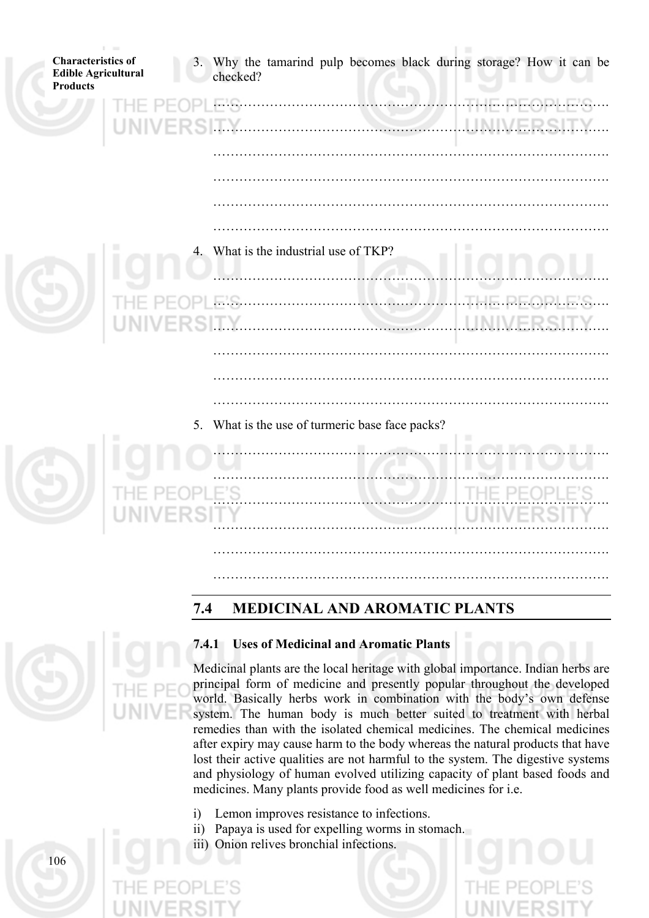| <b>Characteristics of</b><br><b>Edible Agricultural</b><br><b>Products</b> | 3. Why the tamarind pulp becomes black during storage? How it can be<br>checked? |
|----------------------------------------------------------------------------|----------------------------------------------------------------------------------|
| ь                                                                          | THE DEADL<br>EIS.<br>.<br>INIVE                                                  |
|                                                                            |                                                                                  |
|                                                                            |                                                                                  |
|                                                                            | 4. What is the industrial use of TKP?                                            |
| UNIVER                                                                     | LINIVE                                                                           |
|                                                                            |                                                                                  |
|                                                                            | 5. What is the use of turmeric base face packs?                                  |
|                                                                            | $\mathbb{R}^n$<br>.                                                              |
|                                                                            |                                                                                  |
|                                                                            |                                                                                  |

# **7.4 MEDICINAL AND AROMATIC PLANTS**



# **7.4.1 Uses of Medicinal and Aromatic Plants**

Medicinal plants are the local heritage with global importance. Indian herbs are principal form of medicine and presently popular throughout the developed world. Basically herbs work in combination with the body's own defense system. The human body is much better suited to treatment with herbal remedies than with the isolated chemical medicines. The chemical medicines after expiry may cause harm to the body whereas the natural products that have lost their active qualities are not harmful to the system. The digestive systems and physiology of human evolved utilizing capacity of plant based foods and medicines. Many plants provide food as well medicines for i.e.

……………………………………………………………………………….

- i) Lemon improves resistance to infections.
- ii) Papaya is used for expelling worms in stomach.
- iii) Onion relives bronchial infections.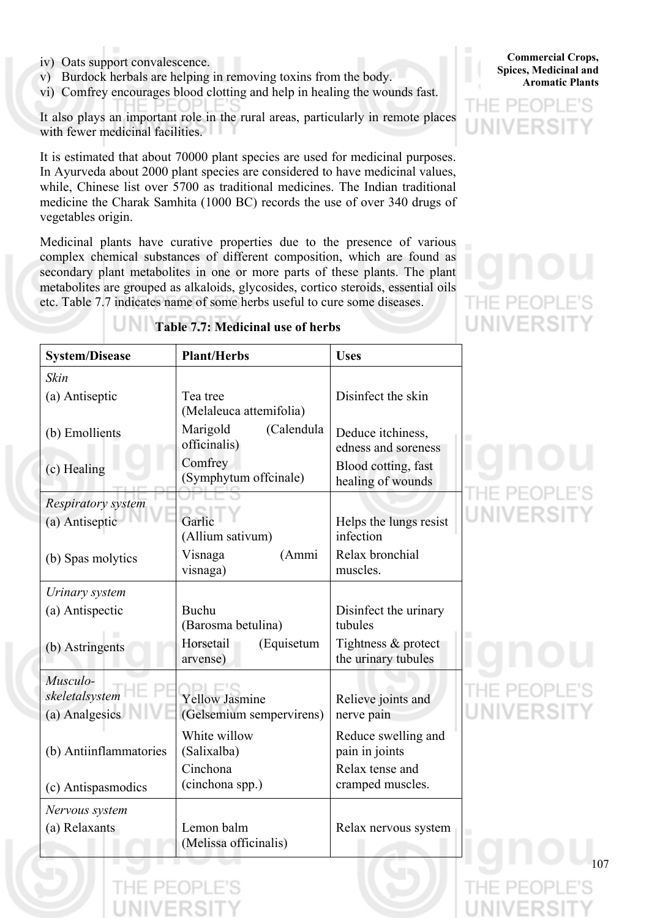- iv) Oats support convalescence.
- v) Burdock herbals are helping in removing toxins from the body.
- vi) Comfrey encourages blood clotting and help in healing the wounds fast.

It also plays an important role in the rural areas, particularly in remote places with fewer medicinal facilities.

It is estimated that about 70000 plant species are used for medicinal purposes. In Ayurveda about 2000 plant species are considered to have medicinal values, while, Chinese list over 5700 as traditional medicines. The Indian traditional medicine the Charak Samhita (1000 BC) records the use of over 340 drugs of vegetables origin.

Medicinal plants have curative properties due to the presence of various complex chemical substances of different composition, which are found as secondary plant metabolites in one or more parts of these plants. The plant metabolites are grouped as alkaloids, glycosides, cortico steroids, essential oils etc. Table 7.7 indicates name of some herbs useful to cure some diseases.



| <b>System/Disease</b>                        | <b>Plant/Herbs</b>                                | <b>Uses</b>                                |     |
|----------------------------------------------|---------------------------------------------------|--------------------------------------------|-----|
| Skin                                         |                                                   |                                            |     |
| (a) Antiseptic                               | Tea tree<br>(Melaleuca attemifolia)               | Disinfect the skin                         |     |
| (b) Emollients                               | Marigold<br>(Calendula<br>officinalis)            | Deduce itchiness,<br>edness and soreness   |     |
| (c) Healing                                  | Comfrey<br>(Symphytum offcinale)                  | Blood cotting, fast<br>healing of wounds   |     |
| Respiratory system                           |                                                   |                                            |     |
| (a) Antiseptic                               | Garlic<br>(Allium sativum)                        | Helps the lungs resist<br>infection        |     |
| (b) Spas molytics                            | Visnaga<br>(Ammi<br>visnaga)                      | Relax bronchial<br>muscles.                |     |
| Urinary system                               |                                                   |                                            |     |
| (a) Antispectic                              | Buchu<br>(Barosma betulina)                       | Disinfect the urinary<br>tubules           |     |
| (b) Astringents                              | Horsetail<br>(Equisetum<br>arvense)               | Tightness & protect<br>the urinary tubules |     |
| Musculo-<br>skeletalsystem<br>(a) Analgesics | <b>Yellow Jasmine</b><br>(Gelsemium sempervirens) | Relieve joints and<br>nerve pain           |     |
| (b) Antiinflammatories                       | White willow<br>(Salixalba)                       | Reduce swelling and<br>pain in joints      |     |
| (c) Antispasmodics                           | Cinchona<br>(cinchona spp.)                       | Relax tense and<br>cramped muscles.        |     |
| Nervous system                               |                                                   |                                            |     |
| (a) Relaxants                                | Lemon balm<br>(Melissa officinalis)               | Relax nervous system                       |     |
|                                              |                                                   |                                            | 107 |

# **Table 7.7: Medicinal use of herbs**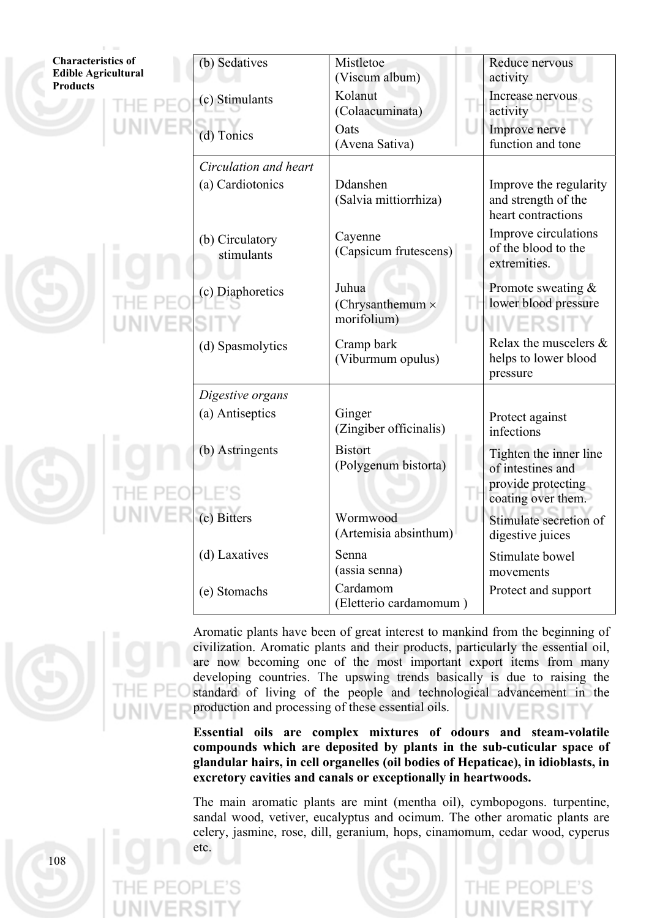| <b>Characteristics of</b><br><b>Edible Agricultural</b> | (b) Sedatives                 | Mistletoe<br>(Viscum album)                     | Reduce nervous<br>activity                                          |
|---------------------------------------------------------|-------------------------------|-------------------------------------------------|---------------------------------------------------------------------|
| <b>Products</b>                                         | (c) Stimulants                | Kolanut<br>(Colaacuminata)                      | Increase nervous<br>activity                                        |
|                                                         | (d) Tonics                    | Oats<br>(Avena Sativa)                          | Improve nerve<br>function and tone                                  |
|                                                         | Circulation and heart         |                                                 |                                                                     |
|                                                         | (a) Cardiotonics              | Ddanshen<br>(Salvia mittiorrhiza)               | Improve the regularity<br>and strength of the<br>heart contractions |
|                                                         | (b) Circulatory<br>stimulants | Cayenne<br>(Capsicum frutescens)                | Improve circulations<br>of the blood to the<br>extremities.         |
|                                                         | (c) Diaphoretics              | Juhua<br>(Chrysanthemum $\times$<br>morifolium) | Promote sweating &<br>lower blood pressure<br>FRSI                  |
|                                                         | (d) Spasmolytics              | Cramp bark<br>(Viburmum opulus)                 | Relax the muscelers &<br>helps to lower blood<br>pressure           |
|                                                         | Digestive organs              |                                                 |                                                                     |
|                                                         | (a) Antiseptics               | Ginger<br>(Zingiber officinalis)                | Protect against<br>infections                                       |
|                                                         | (b) Astringents               | <b>Bistort</b><br>(Polygenum bistorta)          | Tighten the inner line<br>of intestines and<br>provide protecting   |
|                                                         |                               |                                                 | coating over them.                                                  |
|                                                         | (c) Bitters                   | Wormwood<br>(Artemisia absinthum)               | Stimulate secretion of<br>digestive juices                          |
|                                                         | (d) Laxatives                 | Senna<br>(assia senna)                          | Stimulate bowel<br>movements                                        |
|                                                         | (e) Stomachs                  | Cardamom<br>(Eletterio cardamomum)              | Protect and support                                                 |



Aromatic plants have been of great interest to mankind from the beginning of civilization. Aromatic plants and their products, particularly the essential oil, are now becoming one of the most important export items from many developing countries. The upswing trends basically is due to raising the standard of living of the people and technological advancement in the production and processing of these essential oils.

**Essential oils are complex mixtures of odours and steam-volatile compounds which are deposited by plants in the sub-cuticular space of glandular hairs, in cell organelles (oil bodies of Hepaticae), in idioblasts, in excretory cavities and canals or exceptionally in heartwoods.** 

The main aromatic plants are mint (mentha oil), cymbopogons. turpentine, sandal wood, vetiver, eucalyptus and ocimum. The other aromatic plants are celery, jasmine, rose, dill, geranium, hops, cinamomum, cedar wood, cyperus etc.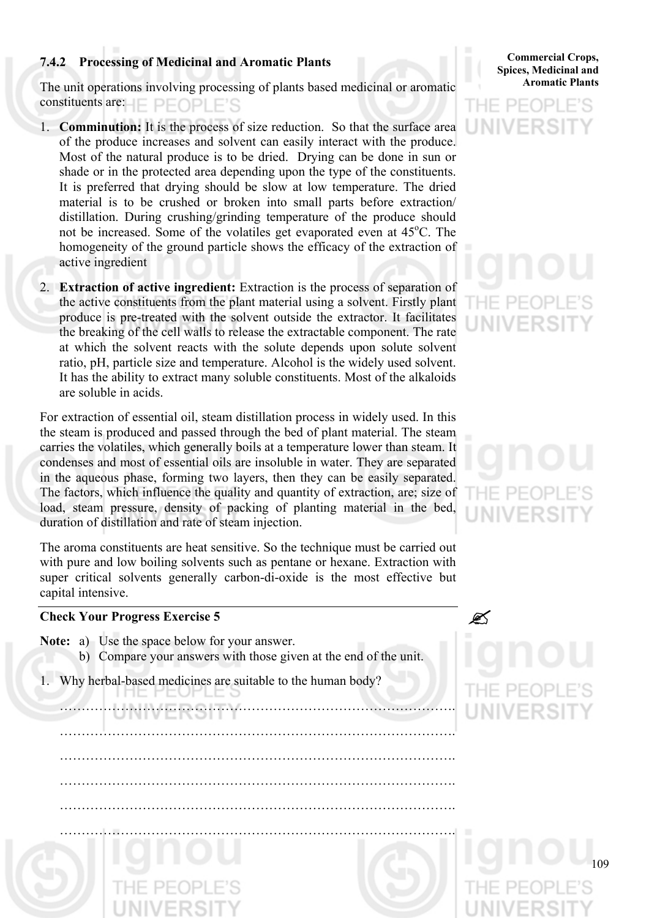# **7.4.2 Processing of Medicinal and Aromatic Plants**

The unit operations involving processing of plants based medicinal or aromatic constituents are:  $\Box$   $\Box$   $\Box$   $\Box$   $\Box$   $\Box$ 

- 1. **Comminution:** It is the process of size reduction. So that the surface area of the produce increases and solvent can easily interact with the produce. Most of the natural produce is to be dried. Drying can be done in sun or shade or in the protected area depending upon the type of the constituents. It is preferred that drying should be slow at low temperature. The dried material is to be crushed or broken into small parts before extraction/ distillation. During crushing/grinding temperature of the produce should not be increased. Some of the volatiles get evaporated even at 45°C. The homogeneity of the ground particle shows the efficacy of the extraction of active ingredient
- 2. **Extraction of active ingredient:** Extraction is the process of separation of the active constituents from the plant material using a solvent. Firstly plant produce is pre-treated with the solvent outside the extractor. It facilitates the breaking of the cell walls to release the extractable component. The rate at which the solvent reacts with the solute depends upon solute solvent ratio, pH, particle size and temperature. Alcohol is the widely used solvent. It has the ability to extract many soluble constituents. Most of the alkaloids are soluble in acids.

For extraction of essential oil, steam distillation process in widely used. In this the steam is produced and passed through the bed of plant material. The steam carries the volatiles, which generally boils at a temperature lower than steam. It condenses and most of essential oils are insoluble in water. They are separated in the aqueous phase, forming two layers, then they can be easily separated. The factors, which influence the quality and quantity of extraction, are; size of load, steam pressure, density of packing of planting material in the bed, duration of distillation and rate of steam injection.

The aroma constituents are heat sensitive. So the technique must be carried out with pure and low boiling solvents such as pentane or hexane. Extraction with super critical solvents generally carbon-di-oxide is the most effective but capital intensive.

## **Check Your Progress Exercise 5** "

- **Note:** a) Use the space below for your answer.
	- b) Compare your answers with those given at the end of the unit.

……………………………………………………………………………….

……………………………………………………………………………….

……………………………………………………………………………….

……………………………………………………………………………….

1. Why herbal-based medicines are suitable to the human body?

**Spices, Medicinal and Aromatic Plants**

**Commercial Crops,** 

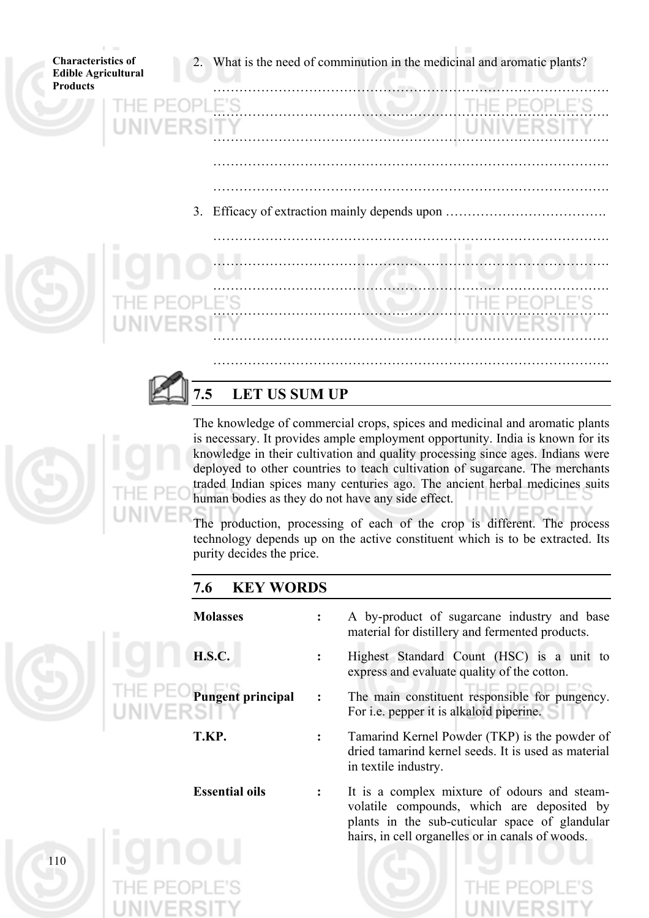



# **7.5 LET US SUM UP**

The knowledge of commercial crops, spices and medicinal and aromatic plants is necessary. It provides ample employment opportunity. India is known for its knowledge in their cultivation and quality processing since ages. Indians were deployed to other countries to teach cultivation of sugarcane. The merchants traded Indian spices many centuries ago. The ancient herbal medicines suits human bodies as they do not have any side effect.

The production, processing of each of the crop is different. The process technology depends up on the active constituent which is to be extracted. Its purity decides the price.

# **7.6 KEY WORDS**



- **Molasses :** A by-product of sugarcane industry and base material for distillery and fermented products.
- **H.S.C. :** Highest Standard Count (HSC) is a unit to express and evaluate quality of the cotton.
- **Pungent principal :** The main constituent responsible for pungency. For i.e. pepper it is alkaloid piperine.
- **T.KP. :** Tamarind Kernel Powder (TKP) is the powder of dried tamarind kernel seeds. It is used as material in textile industry.
- **Essential oils :** It is a complex mixture of odours and steamvolatile compounds, which are deposited by plants in the sub-cuticular space of glandular hairs, in cell organelles or in canals of woods.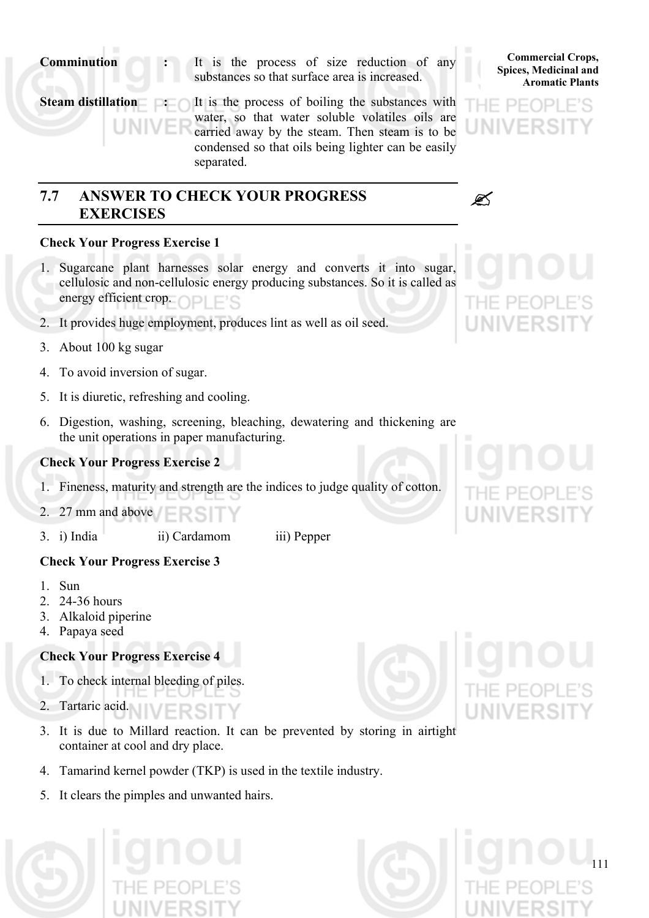**Comminution :** It is the process of size reduction of any substances so that surface area is increased.

**Steam distillation : It is the process of boiling the substances with** water, so that water soluble volatiles oils are carried away by the steam. Then steam is to be condensed so that oils being lighter can be easily separated.

# **7.7 ANSWER TO CHECK YOUR PROGRESS EXERCISES**

# **Check Your Progress Exercise 1**

- 1. Sugarcane plant harnesses solar energy and converts it into sugar, cellulosic and non-cellulosic energy producing substances. So it is called as energy efficient crop.
- 2. It provides huge employment, produces lint as well as oil seed.
- 3. About 100 kg sugar
- 4. To avoid inversion of sugar.
- 5. It is diuretic, refreshing and cooling.
- 6. Digestion, washing, screening, bleaching, dewatering and thickening are the unit operations in paper manufacturing.

## **Check Your Progress Exercise 2**

- 1. Fineness, maturity and strength are the indices to judge quality of cotton.
- 2. 27 mm and above

# 3. i) India ii) Cardamom iii) Pepper

- **Check Your Progress Exercise 3**
- 1. Sun
- 2. 24-36 hours
- 3. Alkaloid piperine
- 4. Papaya seed

# **Check Your Progress Exercise 4**

- 1. To check internal bleeding of piles.
- 2. Tartaric acid.
- 3. It is due to Millard reaction. It can be prevented by storing in airtight container at cool and dry place.
- 4. Tamarind kernel powder (TKP) is used in the textile industry.
- 5. It clears the pimples and unwanted hairs.